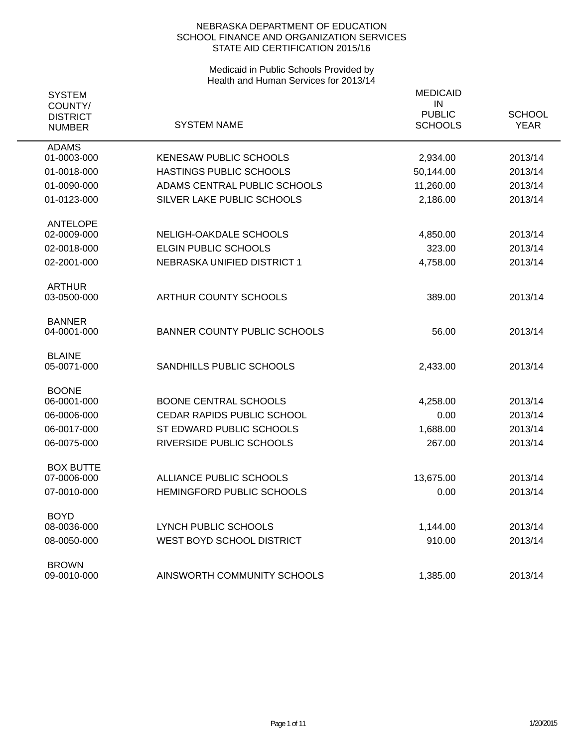| <b>SYSTEM</b><br>COUNTY/<br><b>DISTRICT</b><br><b>NUMBER</b> | <b>SYSTEM NAME</b>                  | <b>MEDICAID</b><br>IN<br><b>PUBLIC</b><br><b>SCHOOLS</b> | <b>SCHOOL</b><br><b>YEAR</b> |
|--------------------------------------------------------------|-------------------------------------|----------------------------------------------------------|------------------------------|
| <b>ADAMS</b><br>01-0003-000                                  | <b>KENESAW PUBLIC SCHOOLS</b>       | 2,934.00                                                 | 2013/14                      |
| 01-0018-000                                                  | HASTINGS PUBLIC SCHOOLS             | 50,144.00                                                | 2013/14                      |
| 01-0090-000                                                  | ADAMS CENTRAL PUBLIC SCHOOLS        | 11,260.00                                                | 2013/14                      |
| 01-0123-000                                                  | SILVER LAKE PUBLIC SCHOOLS          | 2,186.00                                                 | 2013/14                      |
| <b>ANTELOPE</b>                                              |                                     |                                                          |                              |
| 02-0009-000                                                  | NELIGH-OAKDALE SCHOOLS              | 4,850.00                                                 | 2013/14                      |
| 02-0018-000                                                  | <b>ELGIN PUBLIC SCHOOLS</b>         | 323.00                                                   | 2013/14                      |
| 02-2001-000                                                  | NEBRASKA UNIFIED DISTRICT 1         | 4,758.00                                                 | 2013/14                      |
| <b>ARTHUR</b><br>03-0500-000                                 | ARTHUR COUNTY SCHOOLS               | 389.00                                                   | 2013/14                      |
| <b>BANNER</b>                                                |                                     |                                                          |                              |
| 04-0001-000                                                  | <b>BANNER COUNTY PUBLIC SCHOOLS</b> | 56.00                                                    | 2013/14                      |
| <b>BLAINE</b><br>05-0071-000                                 | SANDHILLS PUBLIC SCHOOLS            | 2,433.00                                                 | 2013/14                      |
| <b>BOONE</b><br>06-0001-000                                  | <b>BOONE CENTRAL SCHOOLS</b>        | 4,258.00                                                 | 2013/14                      |
| 06-0006-000                                                  | CEDAR RAPIDS PUBLIC SCHOOL          | 0.00                                                     | 2013/14                      |
| 06-0017-000                                                  | ST EDWARD PUBLIC SCHOOLS            | 1,688.00                                                 | 2013/14                      |
| 06-0075-000                                                  | RIVERSIDE PUBLIC SCHOOLS            | 267.00                                                   | 2013/14                      |
| <b>BOX BUTTE</b>                                             |                                     |                                                          |                              |
| 07-0006-000                                                  | ALLIANCE PUBLIC SCHOOLS             | 13,675.00                                                | 2013/14                      |
| 07-0010-000                                                  | HEMINGFORD PUBLIC SCHOOLS           | 0.00                                                     | 2013/14                      |
| <b>BOYD</b><br>08-0036-000                                   | LYNCH PUBLIC SCHOOLS                | 1,144.00                                                 | 2013/14                      |
| 08-0050-000                                                  | WEST BOYD SCHOOL DISTRICT           | 910.00                                                   | 2013/14                      |
|                                                              |                                     |                                                          |                              |
| <b>BROWN</b><br>09-0010-000                                  | AINSWORTH COMMUNITY SCHOOLS         | 1,385.00                                                 | 2013/14                      |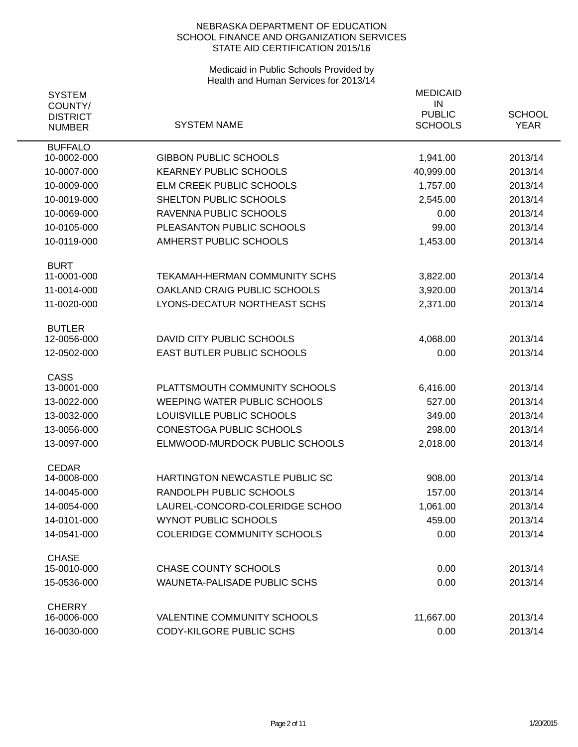| <b>SYSTEM</b>                               |                                     | <b>MEDICAID</b>                       |                              |
|---------------------------------------------|-------------------------------------|---------------------------------------|------------------------------|
| COUNTY/<br><b>DISTRICT</b><br><b>NUMBER</b> | <b>SYSTEM NAME</b>                  | IN<br><b>PUBLIC</b><br><b>SCHOOLS</b> | <b>SCHOOL</b><br><b>YEAR</b> |
| <b>BUFFALO</b><br>10-0002-000               | <b>GIBBON PUBLIC SCHOOLS</b>        | 1,941.00                              | 2013/14                      |
| 10-0007-000                                 | <b>KEARNEY PUBLIC SCHOOLS</b>       | 40,999.00                             | 2013/14                      |
| 10-0009-000                                 | ELM CREEK PUBLIC SCHOOLS            | 1,757.00                              | 2013/14                      |
| 10-0019-000                                 | SHELTON PUBLIC SCHOOLS              | 2,545.00                              | 2013/14                      |
| 10-0069-000                                 | RAVENNA PUBLIC SCHOOLS              | 0.00                                  | 2013/14                      |
| 10-0105-000                                 | PLEASANTON PUBLIC SCHOOLS           | 99.00                                 | 2013/14                      |
| 10-0119-000                                 | AMHERST PUBLIC SCHOOLS              | 1,453.00                              | 2013/14                      |
| <b>BURT</b>                                 |                                     |                                       |                              |
| 11-0001-000                                 | TEKAMAH-HERMAN COMMUNITY SCHS       | 3,822.00                              | 2013/14                      |
| 11-0014-000                                 | OAKLAND CRAIG PUBLIC SCHOOLS        | 3,920.00                              | 2013/14                      |
| 11-0020-000                                 | LYONS-DECATUR NORTHEAST SCHS        | 2,371.00                              | 2013/14                      |
| <b>BUTLER</b>                               |                                     |                                       |                              |
| 12-0056-000                                 | DAVID CITY PUBLIC SCHOOLS           | 4,068.00                              | 2013/14                      |
| 12-0502-000                                 | EAST BUTLER PUBLIC SCHOOLS          | 0.00                                  | 2013/14                      |
| <b>CASS</b><br>13-0001-000                  | PLATTSMOUTH COMMUNITY SCHOOLS       | 6,416.00                              | 2013/14                      |
| 13-0022-000                                 | <b>WEEPING WATER PUBLIC SCHOOLS</b> | 527.00                                | 2013/14                      |
| 13-0032-000                                 | LOUISVILLE PUBLIC SCHOOLS           | 349.00                                | 2013/14                      |
| 13-0056-000                                 | <b>CONESTOGA PUBLIC SCHOOLS</b>     | 298.00                                | 2013/14                      |
| 13-0097-000                                 | ELMWOOD-MURDOCK PUBLIC SCHOOLS      | 2,018.00                              | 2013/14                      |
| <b>CEDAR</b>                                |                                     |                                       |                              |
| 14-0008-000                                 | HARTINGTON NEWCASTLE PUBLIC SC      | 908.00                                | 2013/14                      |
| 14-0045-000                                 | RANDOLPH PUBLIC SCHOOLS             | 157.00                                | 2013/14                      |
| 14-0054-000                                 | LAUREL-CONCORD-COLERIDGE SCHOO      | 1,061.00                              | 2013/14                      |
| 14-0101-000                                 | <b>WYNOT PUBLIC SCHOOLS</b>         | 459.00                                | 2013/14                      |
| 14-0541-000                                 | <b>COLERIDGE COMMUNITY SCHOOLS</b>  | 0.00                                  | 2013/14                      |
| <b>CHASE</b>                                |                                     |                                       |                              |
| 15-0010-000                                 | <b>CHASE COUNTY SCHOOLS</b>         | 0.00                                  | 2013/14                      |
| 15-0536-000                                 | WAUNETA-PALISADE PUBLIC SCHS        | 0.00                                  | 2013/14                      |
| <b>CHERRY</b><br>16-0006-000                | <b>VALENTINE COMMUNITY SCHOOLS</b>  | 11,667.00                             | 2013/14                      |
| 16-0030-000                                 | CODY-KILGORE PUBLIC SCHS            | 0.00                                  | 2013/14                      |
|                                             |                                     |                                       |                              |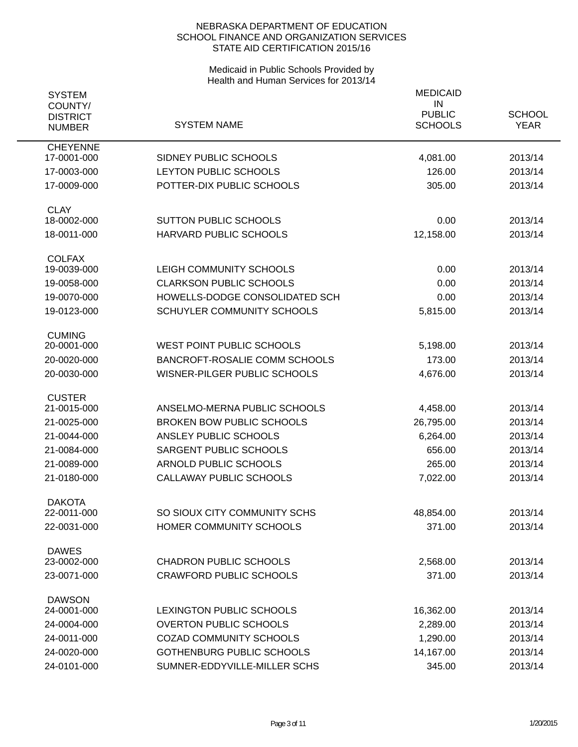| COUNTY/                                                                                   |                              |
|-------------------------------------------------------------------------------------------|------------------------------|
| <b>PUBLIC</b><br><b>DISTRICT</b><br><b>SYSTEM NAME</b><br><b>SCHOOLS</b><br><b>NUMBER</b> | <b>SCHOOL</b><br><b>YEAR</b> |
| <b>CHEYENNE</b><br>17-0001-000<br>SIDNEY PUBLIC SCHOOLS<br>4,081.00                       | 2013/14                      |
| LEYTON PUBLIC SCHOOLS<br>126.00<br>17-0003-000                                            | 2013/14                      |
| 17-0009-000<br>POTTER-DIX PUBLIC SCHOOLS<br>305.00                                        | 2013/14                      |
| <b>CLAY</b>                                                                               |                              |
| 18-0002-000<br><b>SUTTON PUBLIC SCHOOLS</b><br>0.00                                       | 2013/14                      |
| 18-0011-000<br>HARVARD PUBLIC SCHOOLS<br>12,158.00                                        | 2013/14                      |
| <b>COLFAX</b>                                                                             |                              |
| 19-0039-000<br>LEIGH COMMUNITY SCHOOLS<br>0.00                                            | 2013/14                      |
| <b>CLARKSON PUBLIC SCHOOLS</b><br>19-0058-000<br>0.00                                     | 2013/14                      |
| 19-0070-000<br>HOWELLS-DODGE CONSOLIDATED SCH<br>0.00                                     | 2013/14                      |
| 19-0123-000<br>SCHUYLER COMMUNITY SCHOOLS<br>5,815.00                                     | 2013/14                      |
| <b>CUMING</b><br><b>WEST POINT PUBLIC SCHOOLS</b><br>20-0001-000<br>5,198.00              | 2013/14                      |
| 20-0020-000<br><b>BANCROFT-ROSALIE COMM SCHOOLS</b><br>173.00                             | 2013/14                      |
| 20-0030-000<br>WISNER-PILGER PUBLIC SCHOOLS<br>4,676.00                                   | 2013/14                      |
| <b>CUSTER</b>                                                                             |                              |
| 21-0015-000<br>ANSELMO-MERNA PUBLIC SCHOOLS<br>4,458.00                                   | 2013/14                      |
| <b>BROKEN BOW PUBLIC SCHOOLS</b><br>26,795.00<br>21-0025-000                              | 2013/14                      |
| 21-0044-000<br>ANSLEY PUBLIC SCHOOLS<br>6,264.00                                          | 2013/14                      |
| SARGENT PUBLIC SCHOOLS<br>21-0084-000<br>656.00                                           | 2013/14                      |
| 21-0089-000<br><b>ARNOLD PUBLIC SCHOOLS</b><br>265.00                                     | 2013/14                      |
| CALLAWAY PUBLIC SCHOOLS<br>21-0180-000<br>7,022.00                                        | 2013/14                      |
| <b>DAKOTA</b>                                                                             |                              |
| SO SIOUX CITY COMMUNITY SCHS<br>22-0011-000<br>48,854.00                                  | 2013/14                      |
| 22-0031-000<br>HOMER COMMUNITY SCHOOLS<br>371.00                                          | 2013/14                      |
| <b>DAWES</b>                                                                              |                              |
| <b>CHADRON PUBLIC SCHOOLS</b><br>23-0002-000<br>2,568.00                                  | 2013/14                      |
| <b>CRAWFORD PUBLIC SCHOOLS</b><br>23-0071-000<br>371.00                                   | 2013/14                      |
| <b>DAWSON</b><br>24-0001-000<br>LEXINGTON PUBLIC SCHOOLS<br>16,362.00                     | 2013/14                      |
| <b>OVERTON PUBLIC SCHOOLS</b><br>24-0004-000<br>2,289.00                                  | 2013/14                      |
| 24-0011-000<br><b>COZAD COMMUNITY SCHOOLS</b><br>1,290.00                                 | 2013/14                      |
| 24-0020-000<br>GOTHENBURG PUBLIC SCHOOLS<br>14,167.00                                     | 2013/14                      |
| 24-0101-000<br>SUMNER-EDDYVILLE-MILLER SCHS<br>345.00                                     | 2013/14                      |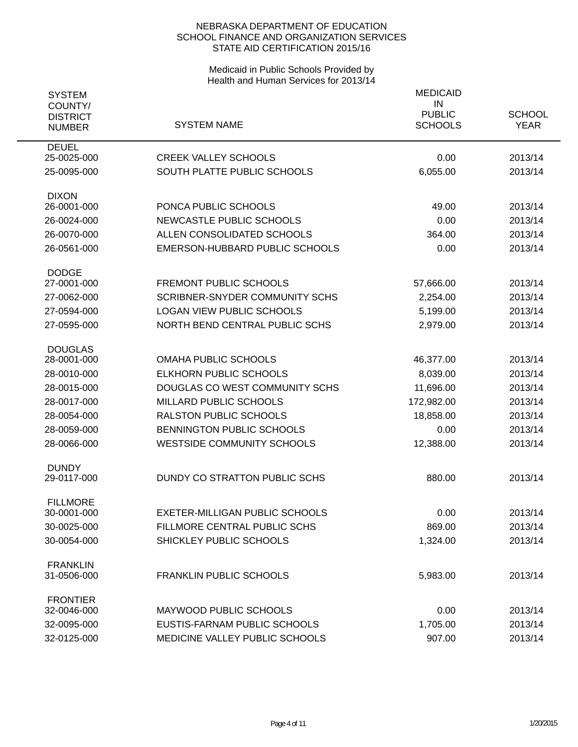| <b>SYSTEM</b><br>COUNTY/<br><b>DISTRICT</b><br><b>NUMBER</b> | <b>SYSTEM NAME</b>                    | <b>MEDICAID</b><br>IN<br><b>PUBLIC</b><br><b>SCHOOLS</b> | <b>SCHOOL</b><br><b>YEAR</b> |
|--------------------------------------------------------------|---------------------------------------|----------------------------------------------------------|------------------------------|
| <b>DEUEL</b>                                                 | <b>CREEK VALLEY SCHOOLS</b>           |                                                          |                              |
| 25-0025-000                                                  |                                       | 0.00                                                     | 2013/14                      |
| 25-0095-000                                                  | SOUTH PLATTE PUBLIC SCHOOLS           | 6,055.00                                                 | 2013/14                      |
| <b>DIXON</b><br>26-0001-000                                  | PONCA PUBLIC SCHOOLS                  | 49.00                                                    | 2013/14                      |
| 26-0024-000                                                  | NEWCASTLE PUBLIC SCHOOLS              | 0.00                                                     | 2013/14                      |
| 26-0070-000                                                  | ALLEN CONSOLIDATED SCHOOLS            | 364.00                                                   | 2013/14                      |
| 26-0561-000                                                  | EMERSON-HUBBARD PUBLIC SCHOOLS        | 0.00                                                     | 2013/14                      |
|                                                              |                                       |                                                          |                              |
| <b>DODGE</b><br>27-0001-000                                  | FREMONT PUBLIC SCHOOLS                | 57,666.00                                                | 2013/14                      |
| 27-0062-000                                                  | <b>SCRIBNER-SNYDER COMMUNITY SCHS</b> | 2,254.00                                                 | 2013/14                      |
| 27-0594-000                                                  | <b>LOGAN VIEW PUBLIC SCHOOLS</b>      | 5,199.00                                                 | 2013/14                      |
| 27-0595-000                                                  | NORTH BEND CENTRAL PUBLIC SCHS        | 2,979.00                                                 | 2013/14                      |
|                                                              |                                       |                                                          |                              |
| <b>DOUGLAS</b><br>28-0001-000                                | <b>OMAHA PUBLIC SCHOOLS</b>           | 46,377.00                                                | 2013/14                      |
| 28-0010-000                                                  | <b>ELKHORN PUBLIC SCHOOLS</b>         | 8,039.00                                                 | 2013/14                      |
| 28-0015-000                                                  | DOUGLAS CO WEST COMMUNITY SCHS        | 11,696.00                                                | 2013/14                      |
| 28-0017-000                                                  | MILLARD PUBLIC SCHOOLS                | 172,982.00                                               | 2013/14                      |
| 28-0054-000                                                  | <b>RALSTON PUBLIC SCHOOLS</b>         | 18,858.00                                                | 2013/14                      |
| 28-0059-000                                                  | BENNINGTON PUBLIC SCHOOLS             | 0.00                                                     | 2013/14                      |
| 28-0066-000                                                  | <b>WESTSIDE COMMUNITY SCHOOLS</b>     | 12,388.00                                                | 2013/14                      |
| <b>DUNDY</b>                                                 |                                       |                                                          |                              |
| 29-0117-000                                                  | DUNDY CO STRATTON PUBLIC SCHS         | 880.00                                                   | 2013/14                      |
| <b>FILLMORE</b>                                              |                                       |                                                          |                              |
| 30-0001-000                                                  | <b>EXETER-MILLIGAN PUBLIC SCHOOLS</b> | 0.00                                                     | 2013/14                      |
| 30-0025-000                                                  | FILLMORE CENTRAL PUBLIC SCHS          | 869.00                                                   | 2013/14                      |
| 30-0054-000                                                  | SHICKLEY PUBLIC SCHOOLS               | 1,324.00                                                 | 2013/14                      |
| <b>FRANKLIN</b>                                              |                                       |                                                          |                              |
| 31-0506-000                                                  | <b>FRANKLIN PUBLIC SCHOOLS</b>        | 5,983.00                                                 | 2013/14                      |
| <b>FRONTIER</b>                                              |                                       |                                                          |                              |
| 32-0046-000                                                  | MAYWOOD PUBLIC SCHOOLS                | 0.00                                                     | 2013/14                      |
| 32-0095-000                                                  | EUSTIS-FARNAM PUBLIC SCHOOLS          | 1,705.00                                                 | 2013/14                      |
| 32-0125-000                                                  | MEDICINE VALLEY PUBLIC SCHOOLS        | 907.00                                                   | 2013/14                      |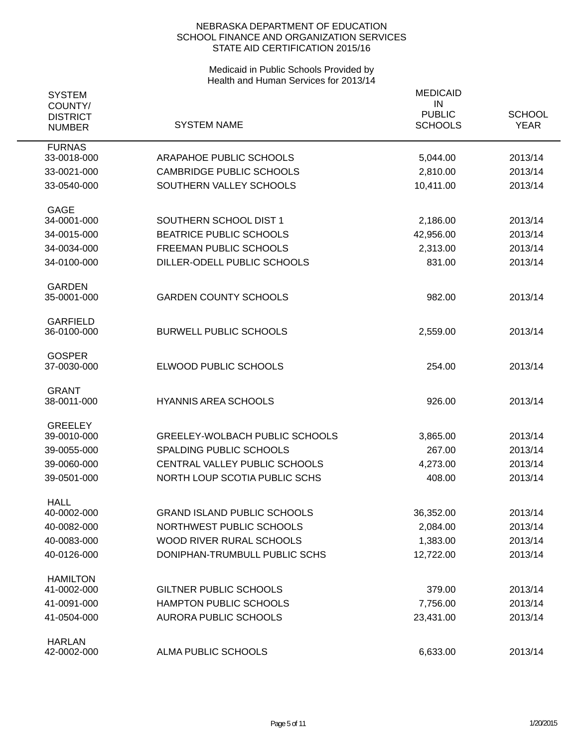| <b>SYSTEM</b><br>COUNTY/<br><b>DISTRICT</b> | <b>SYSTEM NAME</b>                    | <b>MEDICAID</b><br>IN<br><b>PUBLIC</b><br><b>SCHOOLS</b> | <b>SCHOOL</b><br><b>YEAR</b> |
|---------------------------------------------|---------------------------------------|----------------------------------------------------------|------------------------------|
| <b>NUMBER</b>                               |                                       |                                                          |                              |
| <b>FURNAS</b><br>33-0018-000                | ARAPAHOE PUBLIC SCHOOLS               | 5,044.00                                                 | 2013/14                      |
| 33-0021-000                                 | <b>CAMBRIDGE PUBLIC SCHOOLS</b>       | 2,810.00                                                 | 2013/14                      |
| 33-0540-000                                 | SOUTHERN VALLEY SCHOOLS               | 10,411.00                                                | 2013/14                      |
|                                             |                                       |                                                          |                              |
| <b>GAGE</b><br>34-0001-000                  | SOUTHERN SCHOOL DIST 1                |                                                          |                              |
|                                             |                                       | 2,186.00                                                 | 2013/14                      |
| 34-0015-000                                 | <b>BEATRICE PUBLIC SCHOOLS</b>        | 42,956.00                                                | 2013/14                      |
| 34-0034-000                                 | <b>FREEMAN PUBLIC SCHOOLS</b>         | 2,313.00                                                 | 2013/14                      |
| 34-0100-000                                 | DILLER-ODELL PUBLIC SCHOOLS           | 831.00                                                   | 2013/14                      |
| <b>GARDEN</b>                               |                                       |                                                          |                              |
| 35-0001-000                                 | <b>GARDEN COUNTY SCHOOLS</b>          | 982.00                                                   | 2013/14                      |
| <b>GARFIELD</b>                             |                                       |                                                          |                              |
| 36-0100-000                                 | <b>BURWELL PUBLIC SCHOOLS</b>         | 2,559.00                                                 | 2013/14                      |
| <b>GOSPER</b>                               |                                       |                                                          |                              |
| 37-0030-000                                 | ELWOOD PUBLIC SCHOOLS                 | 254.00                                                   | 2013/14                      |
|                                             |                                       |                                                          |                              |
| <b>GRANT</b><br>38-0011-000                 | <b>HYANNIS AREA SCHOOLS</b>           | 926.00                                                   | 2013/14                      |
|                                             |                                       |                                                          |                              |
| <b>GREELEY</b>                              |                                       |                                                          |                              |
| 39-0010-000                                 | <b>GREELEY-WOLBACH PUBLIC SCHOOLS</b> | 3,865.00                                                 | 2013/14                      |
| 39-0055-000                                 | SPALDING PUBLIC SCHOOLS               | 267.00                                                   | 2013/14                      |
| 39-0060-000                                 | CENTRAL VALLEY PUBLIC SCHOOLS         | 4,273.00                                                 | 2013/14                      |
| 39-0501-000                                 | NORTH LOUP SCOTIA PUBLIC SCHS         | 408.00                                                   | 2013/14                      |
| <b>HALL</b>                                 |                                       |                                                          |                              |
| 40-0002-000                                 | <b>GRAND ISLAND PUBLIC SCHOOLS</b>    | 36,352.00                                                | 2013/14                      |
| 40-0082-000                                 | NORTHWEST PUBLIC SCHOOLS              | 2,084.00                                                 | 2013/14                      |
| 40-0083-000                                 | WOOD RIVER RURAL SCHOOLS              | 1,383.00                                                 | 2013/14                      |
| 40-0126-000                                 | DONIPHAN-TRUMBULL PUBLIC SCHS         | 12,722.00                                                | 2013/14                      |
| <b>HAMILTON</b>                             |                                       |                                                          |                              |
| 41-0002-000                                 | <b>GILTNER PUBLIC SCHOOLS</b>         | 379.00                                                   | 2013/14                      |
| 41-0091-000                                 | <b>HAMPTON PUBLIC SCHOOLS</b>         | 7,756.00                                                 | 2013/14                      |
| 41-0504-000                                 | <b>AURORA PUBLIC SCHOOLS</b>          | 23,431.00                                                | 2013/14                      |
|                                             |                                       |                                                          |                              |
| <b>HARLAN</b><br>42-0002-000                | ALMA PUBLIC SCHOOLS                   | 6,633.00                                                 | 2013/14                      |
|                                             |                                       |                                                          |                              |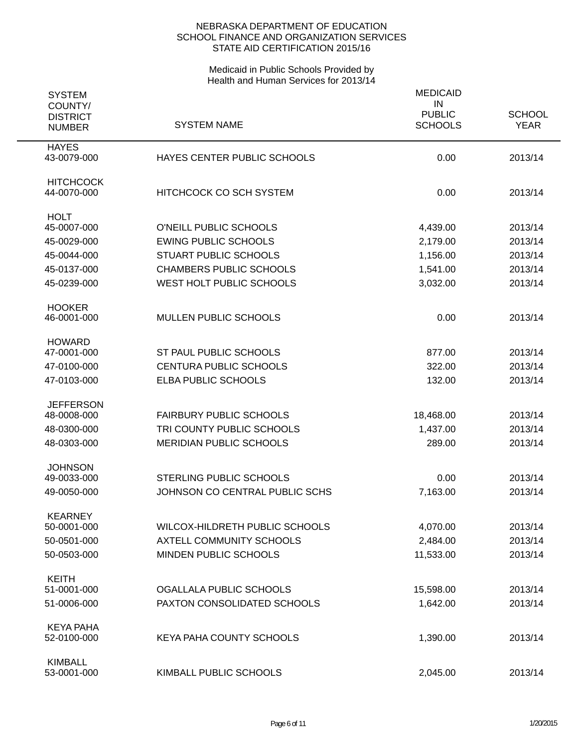| <b>SYSTEM</b><br>COUNTY/<br><b>DISTRICT</b><br><b>NUMBER</b> | <b>SYSTEM NAME</b>              | <b>MEDICAID</b><br>IN<br><b>PUBLIC</b><br><b>SCHOOLS</b> | <b>SCHOOL</b><br><b>YEAR</b> |
|--------------------------------------------------------------|---------------------------------|----------------------------------------------------------|------------------------------|
| <b>HAYES</b><br>43-0079-000                                  | HAYES CENTER PUBLIC SCHOOLS     | 0.00                                                     | 2013/14                      |
| <b>HITCHCOCK</b><br>44-0070-000                              | <b>HITCHCOCK CO SCH SYSTEM</b>  | 0.00                                                     | 2013/14                      |
| <b>HOLT</b><br>45-0007-000                                   | O'NEILL PUBLIC SCHOOLS          | 4,439.00                                                 | 2013/14                      |
| 45-0029-000                                                  | <b>EWING PUBLIC SCHOOLS</b>     | 2,179.00                                                 | 2013/14                      |
| 45-0044-000                                                  | <b>STUART PUBLIC SCHOOLS</b>    | 1,156.00                                                 | 2013/14                      |
| 45-0137-000                                                  | <b>CHAMBERS PUBLIC SCHOOLS</b>  | 1,541.00                                                 | 2013/14                      |
| 45-0239-000                                                  | WEST HOLT PUBLIC SCHOOLS        | 3,032.00                                                 | 2013/14                      |
| <b>HOOKER</b><br>46-0001-000                                 | MULLEN PUBLIC SCHOOLS           | 0.00                                                     | 2013/14                      |
| <b>HOWARD</b><br>47-0001-000                                 | ST PAUL PUBLIC SCHOOLS          | 877.00                                                   | 2013/14                      |
| 47-0100-000                                                  | <b>CENTURA PUBLIC SCHOOLS</b>   | 322.00                                                   | 2013/14                      |
| 47-0103-000                                                  | ELBA PUBLIC SCHOOLS             | 132.00                                                   | 2013/14                      |
| <b>JEFFERSON</b>                                             |                                 |                                                          |                              |
| 48-0008-000                                                  | <b>FAIRBURY PUBLIC SCHOOLS</b>  | 18,468.00                                                | 2013/14                      |
| 48-0300-000                                                  | TRI COUNTY PUBLIC SCHOOLS       | 1,437.00                                                 | 2013/14                      |
| 48-0303-000                                                  | <b>MERIDIAN PUBLIC SCHOOLS</b>  | 289.00                                                   | 2013/14                      |
| <b>JOHNSON</b>                                               |                                 |                                                          |                              |
| 49-0033-000                                                  | <b>STERLING PUBLIC SCHOOLS</b>  | 0.00                                                     | 2013/14                      |
| 49-0050-000                                                  | JOHNSON CO CENTRAL PUBLIC SCHS  | 7,163.00                                                 | 2013/14                      |
| <b>KEARNEY</b><br>50-0001-000                                | WILCOX-HILDRETH PUBLIC SCHOOLS  | 4,070.00                                                 | 2013/14                      |
| 50-0501-000                                                  | AXTELL COMMUNITY SCHOOLS        | 2,484.00                                                 | 2013/14                      |
| 50-0503-000                                                  | MINDEN PUBLIC SCHOOLS           | 11,533.00                                                | 2013/14                      |
|                                                              |                                 |                                                          |                              |
| <b>KEITH</b><br>51-0001-000                                  | OGALLALA PUBLIC SCHOOLS         | 15,598.00                                                | 2013/14                      |
| 51-0006-000                                                  | PAXTON CONSOLIDATED SCHOOLS     | 1,642.00                                                 | 2013/14                      |
|                                                              |                                 |                                                          |                              |
| <b>KEYA PAHA</b><br>52-0100-000                              | <b>KEYA PAHA COUNTY SCHOOLS</b> | 1,390.00                                                 | 2013/14                      |
| <b>KIMBALL</b><br>53-0001-000                                | KIMBALL PUBLIC SCHOOLS          | 2,045.00                                                 | 2013/14                      |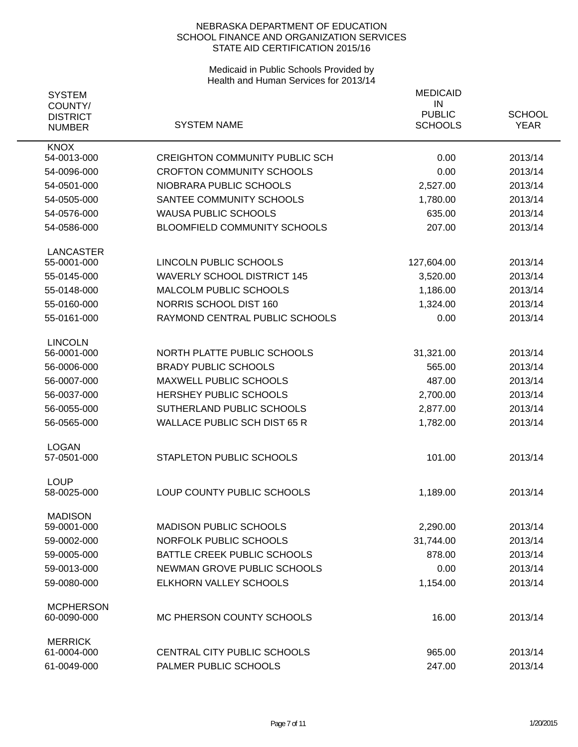| <b>SYSTEM</b><br>COUNTY/         |                                       | <b>MEDICAID</b><br>IN           |                              |
|----------------------------------|---------------------------------------|---------------------------------|------------------------------|
| <b>DISTRICT</b><br><b>NUMBER</b> | <b>SYSTEM NAME</b>                    | <b>PUBLIC</b><br><b>SCHOOLS</b> | <b>SCHOOL</b><br><b>YEAR</b> |
| <b>KNOX</b><br>54-0013-000       | <b>CREIGHTON COMMUNITY PUBLIC SCH</b> | 0.00                            | 2013/14                      |
| 54-0096-000                      | <b>CROFTON COMMUNITY SCHOOLS</b>      | 0.00                            | 2013/14                      |
| 54-0501-000                      | NIOBRARA PUBLIC SCHOOLS               | 2,527.00                        | 2013/14                      |
| 54-0505-000                      | SANTEE COMMUNITY SCHOOLS              | 1,780.00                        | 2013/14                      |
| 54-0576-000                      | <b>WAUSA PUBLIC SCHOOLS</b>           | 635.00                          | 2013/14                      |
| 54-0586-000                      | BLOOMFIELD COMMUNITY SCHOOLS          | 207.00                          | 2013/14                      |
| <b>LANCASTER</b>                 |                                       |                                 |                              |
| 55-0001-000                      | LINCOLN PUBLIC SCHOOLS                | 127,604.00                      | 2013/14                      |
| 55-0145-000                      | <b>WAVERLY SCHOOL DISTRICT 145</b>    | 3,520.00                        | 2013/14                      |
| 55-0148-000                      | MALCOLM PUBLIC SCHOOLS                | 1,186.00                        | 2013/14                      |
| 55-0160-000                      | NORRIS SCHOOL DIST 160                | 1,324.00                        | 2013/14                      |
| 55-0161-000                      | RAYMOND CENTRAL PUBLIC SCHOOLS        | 0.00                            | 2013/14                      |
| <b>LINCOLN</b><br>56-0001-000    | NORTH PLATTE PUBLIC SCHOOLS           | 31,321.00                       | 2013/14                      |
| 56-0006-000                      | <b>BRADY PUBLIC SCHOOLS</b>           | 565.00                          | 2013/14                      |
| 56-0007-000                      | <b>MAXWELL PUBLIC SCHOOLS</b>         | 487.00                          | 2013/14                      |
| 56-0037-000                      | HERSHEY PUBLIC SCHOOLS                | 2,700.00                        | 2013/14                      |
| 56-0055-000                      | SUTHERLAND PUBLIC SCHOOLS             | 2,877.00                        | 2013/14                      |
| 56-0565-000                      | <b>WALLACE PUBLIC SCH DIST 65 R</b>   | 1,782.00                        | 2013/14                      |
|                                  |                                       |                                 |                              |
| <b>LOGAN</b><br>57-0501-000      | STAPLETON PUBLIC SCHOOLS              | 101.00                          | 2013/14                      |
|                                  |                                       |                                 |                              |
| <b>LOUP</b><br>58-0025-000       | LOUP COUNTY PUBLIC SCHOOLS            | 1,189.00                        | 2013/14                      |
| <b>MADISON</b>                   |                                       |                                 |                              |
| 59-0001-000                      | <b>MADISON PUBLIC SCHOOLS</b>         | 2,290.00                        | 2013/14                      |
| 59-0002-000                      | NORFOLK PUBLIC SCHOOLS                | 31,744.00                       | 2013/14                      |
| 59-0005-000                      | BATTLE CREEK PUBLIC SCHOOLS           | 878.00                          | 2013/14                      |
| 59-0013-000                      | NEWMAN GROVE PUBLIC SCHOOLS           | 0.00                            | 2013/14                      |
| 59-0080-000                      | ELKHORN VALLEY SCHOOLS                | 1,154.00                        | 2013/14                      |
| <b>MCPHERSON</b>                 |                                       |                                 |                              |
| 60-0090-000                      | MC PHERSON COUNTY SCHOOLS             | 16.00                           | 2013/14                      |
| <b>MERRICK</b>                   |                                       |                                 |                              |
| 61-0004-000                      | CENTRAL CITY PUBLIC SCHOOLS           | 965.00                          | 2013/14                      |
| 61-0049-000                      | PALMER PUBLIC SCHOOLS                 | 247.00                          | 2013/14                      |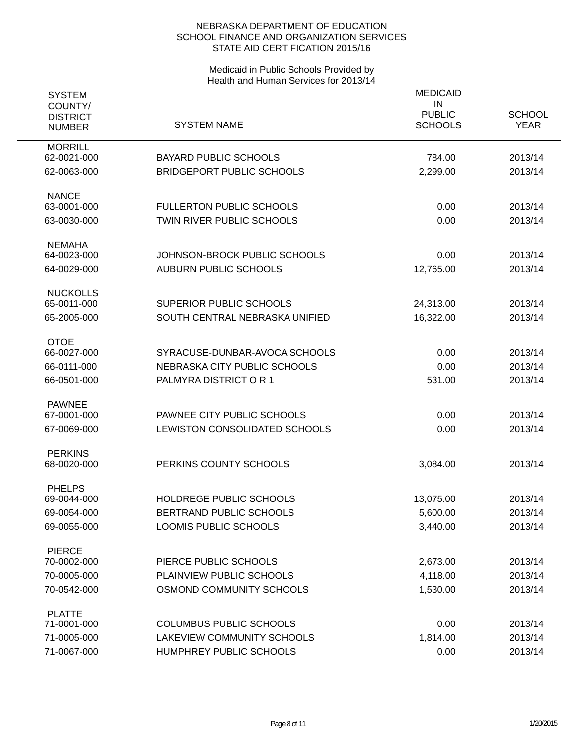| <b>SYSTEM</b><br>COUNTY/         |                                                           | <b>MEDICAID</b><br>IN<br><b>PUBLIC</b> | <b>SCHOOL</b>      |
|----------------------------------|-----------------------------------------------------------|----------------------------------------|--------------------|
| <b>DISTRICT</b><br><b>NUMBER</b> | <b>SYSTEM NAME</b>                                        | <b>SCHOOLS</b>                         | <b>YEAR</b>        |
| <b>MORRILL</b><br>62-0021-000    | <b>BAYARD PUBLIC SCHOOLS</b>                              | 784.00                                 | 2013/14            |
| 62-0063-000                      | <b>BRIDGEPORT PUBLIC SCHOOLS</b>                          | 2,299.00                               | 2013/14            |
| <b>NANCE</b><br>63-0001-000      | <b>FULLERTON PUBLIC SCHOOLS</b>                           | 0.00                                   | 2013/14            |
| 63-0030-000                      | <b>TWIN RIVER PUBLIC SCHOOLS</b>                          | 0.00                                   | 2013/14            |
| <b>NEMAHA</b><br>64-0023-000     | JOHNSON-BROCK PUBLIC SCHOOLS                              | 0.00                                   | 2013/14            |
| 64-0029-000                      | <b>AUBURN PUBLIC SCHOOLS</b>                              | 12,765.00                              | 2013/14            |
| <b>NUCKOLLS</b>                  |                                                           |                                        |                    |
| 65-0011-000<br>65-2005-000       | SUPERIOR PUBLIC SCHOOLS<br>SOUTH CENTRAL NEBRASKA UNIFIED | 24,313.00<br>16,322.00                 | 2013/14<br>2013/14 |
| <b>OTOE</b>                      |                                                           |                                        |                    |
| 66-0027-000                      | SYRACUSE-DUNBAR-AVOCA SCHOOLS                             | 0.00                                   | 2013/14            |
| 66-0111-000                      | NEBRASKA CITY PUBLIC SCHOOLS                              | 0.00                                   | 2013/14            |
| 66-0501-000                      | PALMYRA DISTRICT OR 1                                     | 531.00                                 | 2013/14            |
| <b>PAWNEE</b><br>67-0001-000     | PAWNEE CITY PUBLIC SCHOOLS                                | 0.00                                   | 2013/14            |
| 67-0069-000                      | LEWISTON CONSOLIDATED SCHOOLS                             | 0.00                                   | 2013/14            |
|                                  |                                                           |                                        |                    |
| <b>PERKINS</b><br>68-0020-000    | PERKINS COUNTY SCHOOLS                                    | 3,084.00                               | 2013/14            |
| <b>PHELPS</b>                    |                                                           |                                        |                    |
| 69-0044-000                      | HOLDREGE PUBLIC SCHOOLS                                   | 13,075.00                              | 2013/14            |
| 69-0054-000                      | BERTRAND PUBLIC SCHOOLS                                   | 5,600.00                               | 2013/14            |
| 69-0055-000                      | LOOMIS PUBLIC SCHOOLS                                     | 3,440.00                               | 2013/14            |
| <b>PIERCE</b>                    |                                                           |                                        |                    |
| 70-0002-000                      | PIERCE PUBLIC SCHOOLS                                     | 2,673.00                               | 2013/14            |
| 70-0005-000                      | PLAINVIEW PUBLIC SCHOOLS                                  | 4,118.00                               | 2013/14            |
| 70-0542-000                      | OSMOND COMMUNITY SCHOOLS                                  | 1,530.00                               | 2013/14            |
| <b>PLATTE</b><br>71-0001-000     | <b>COLUMBUS PUBLIC SCHOOLS</b>                            | 0.00                                   | 2013/14            |
| 71-0005-000                      | LAKEVIEW COMMUNITY SCHOOLS                                | 1,814.00                               | 2013/14            |
| 71-0067-000                      | HUMPHREY PUBLIC SCHOOLS                                   | 0.00                                   | 2013/14            |
|                                  |                                                           |                                        |                    |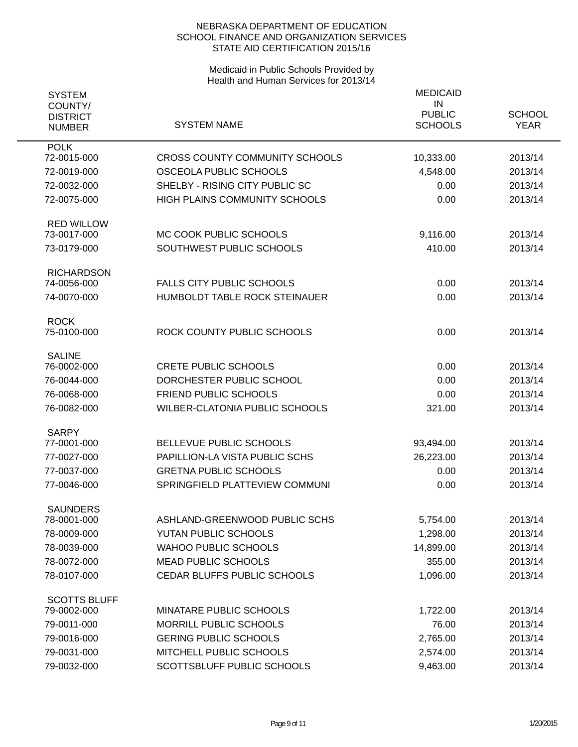| <b>SYSTEM</b><br>COUNTY/<br><b>DISTRICT</b> |                                       | <b>MEDICAID</b><br>IN<br><b>PUBLIC</b> | <b>SCHOOL</b> |
|---------------------------------------------|---------------------------------------|----------------------------------------|---------------|
| <b>NUMBER</b>                               | <b>SYSTEM NAME</b>                    | <b>SCHOOLS</b>                         | <b>YEAR</b>   |
| <b>POLK</b><br>72-0015-000                  | <b>CROSS COUNTY COMMUNITY SCHOOLS</b> | 10,333.00                              | 2013/14       |
| 72-0019-000                                 | OSCEOLA PUBLIC SCHOOLS                | 4,548.00                               | 2013/14       |
| 72-0032-000                                 | SHELBY - RISING CITY PUBLIC SC        | 0.00                                   | 2013/14       |
| 72-0075-000                                 | HIGH PLAINS COMMUNITY SCHOOLS         | 0.00                                   | 2013/14       |
|                                             |                                       |                                        |               |
| <b>RED WILLOW</b>                           |                                       |                                        |               |
| 73-0017-000                                 | MC COOK PUBLIC SCHOOLS                | 9,116.00                               | 2013/14       |
| 73-0179-000                                 | SOUTHWEST PUBLIC SCHOOLS              | 410.00                                 | 2013/14       |
| <b>RICHARDSON</b>                           |                                       |                                        |               |
| 74-0056-000                                 | <b>FALLS CITY PUBLIC SCHOOLS</b>      | 0.00                                   | 2013/14       |
| 74-0070-000                                 | HUMBOLDT TABLE ROCK STEINAUER         | 0.00                                   | 2013/14       |
|                                             |                                       |                                        |               |
| <b>ROCK</b><br>75-0100-000                  | ROCK COUNTY PUBLIC SCHOOLS            | 0.00                                   | 2013/14       |
|                                             |                                       |                                        |               |
| <b>SALINE</b>                               |                                       |                                        |               |
| 76-0002-000                                 | <b>CRETE PUBLIC SCHOOLS</b>           | 0.00                                   | 2013/14       |
| 76-0044-000                                 | DORCHESTER PUBLIC SCHOOL              | 0.00                                   | 2013/14       |
| 76-0068-000                                 | FRIEND PUBLIC SCHOOLS                 | 0.00                                   | 2013/14       |
| 76-0082-000                                 | <b>WILBER-CLATONIA PUBLIC SCHOOLS</b> | 321.00                                 | 2013/14       |
| <b>SARPY</b>                                |                                       |                                        |               |
| 77-0001-000                                 | BELLEVUE PUBLIC SCHOOLS               | 93,494.00                              | 2013/14       |
| 77-0027-000                                 | PAPILLION-LA VISTA PUBLIC SCHS        | 26,223.00                              | 2013/14       |
| 77-0037-000                                 | <b>GRETNA PUBLIC SCHOOLS</b>          | 0.00                                   | 2013/14       |
| 77-0046-000                                 | SPRINGFIELD PLATTEVIEW COMMUNI        | 0.00                                   | 2013/14       |
|                                             |                                       |                                        |               |
| <b>SAUNDERS</b><br>78-0001-000              | ASHLAND-GREENWOOD PUBLIC SCHS         | 5,754.00                               | 2013/14       |
| 78-0009-000                                 | YUTAN PUBLIC SCHOOLS                  | 1,298.00                               | 2013/14       |
| 78-0039-000                                 | <b>WAHOO PUBLIC SCHOOLS</b>           | 14,899.00                              | 2013/14       |
| 78-0072-000                                 | <b>MEAD PUBLIC SCHOOLS</b>            | 355.00                                 | 2013/14       |
| 78-0107-000                                 | CEDAR BLUFFS PUBLIC SCHOOLS           | 1,096.00                               | 2013/14       |
|                                             |                                       |                                        |               |
| <b>SCOTTS BLUFF</b>                         |                                       |                                        |               |
| 79-0002-000                                 | MINATARE PUBLIC SCHOOLS               | 1,722.00                               | 2013/14       |
| 79-0011-000                                 | MORRILL PUBLIC SCHOOLS                | 76.00                                  | 2013/14       |
| 79-0016-000                                 | <b>GERING PUBLIC SCHOOLS</b>          | 2,765.00                               | 2013/14       |
| 79-0031-000                                 | MITCHELL PUBLIC SCHOOLS               | 2,574.00                               | 2013/14       |
| 79-0032-000                                 | SCOTTSBLUFF PUBLIC SCHOOLS            | 9,463.00                               | 2013/14       |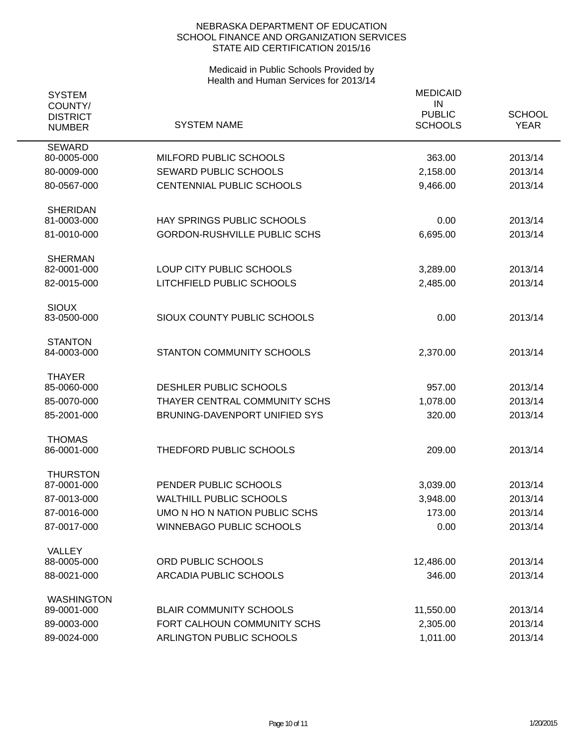| <b>SYSTEM</b><br>COUNTY/         |                                     | <b>MEDICAID</b><br>IN           |                              |
|----------------------------------|-------------------------------------|---------------------------------|------------------------------|
| <b>DISTRICT</b><br><b>NUMBER</b> | <b>SYSTEM NAME</b>                  | <b>PUBLIC</b><br><b>SCHOOLS</b> | <b>SCHOOL</b><br><b>YEAR</b> |
| <b>SEWARD</b><br>80-0005-000     | MILFORD PUBLIC SCHOOLS              | 363.00                          | 2013/14                      |
| 80-0009-000                      | <b>SEWARD PUBLIC SCHOOLS</b>        | 2,158.00                        | 2013/14                      |
| 80-0567-000                      | <b>CENTENNIAL PUBLIC SCHOOLS</b>    | 9,466.00                        | 2013/14                      |
| <b>SHERIDAN</b>                  |                                     |                                 |                              |
| 81-0003-000                      | HAY SPRINGS PUBLIC SCHOOLS          | 0.00                            | 2013/14                      |
| 81-0010-000                      | <b>GORDON-RUSHVILLE PUBLIC SCHS</b> | 6,695.00                        | 2013/14                      |
| <b>SHERMAN</b><br>82-0001-000    | LOUP CITY PUBLIC SCHOOLS            | 3,289.00                        | 2013/14                      |
| 82-0015-000                      | LITCHFIELD PUBLIC SCHOOLS           | 2,485.00                        | 2013/14                      |
| <b>SIOUX</b><br>83-0500-000      | SIOUX COUNTY PUBLIC SCHOOLS         | 0.00                            | 2013/14                      |
| <b>STANTON</b><br>84-0003-000    | STANTON COMMUNITY SCHOOLS           | 2,370.00                        | 2013/14                      |
| <b>THAYER</b><br>85-0060-000     | DESHLER PUBLIC SCHOOLS              | 957.00                          | 2013/14                      |
| 85-0070-000                      | THAYER CENTRAL COMMUNITY SCHS       | 1,078.00                        | 2013/14                      |
| 85-2001-000                      | BRUNING-DAVENPORT UNIFIED SYS       | 320.00                          | 2013/14                      |
| <b>THOMAS</b><br>86-0001-000     | THEDFORD PUBLIC SCHOOLS             | 209.00                          | 2013/14                      |
| <b>THURSTON</b><br>87-0001-000   | PENDER PUBLIC SCHOOLS               | 3,039.00                        | 2013/14                      |
| 87-0013-000                      | <b>WALTHILL PUBLIC SCHOOLS</b>      | 3,948.00                        | 2013/14                      |
| 87-0016-000                      | UMO N HO N NATION PUBLIC SCHS       | 173.00                          | 2013/14                      |
| 87-0017-000                      | <b>WINNEBAGO PUBLIC SCHOOLS</b>     | 0.00                            | 2013/14                      |
| VALLEY                           |                                     |                                 |                              |
| 88-0005-000                      | ORD PUBLIC SCHOOLS                  | 12,486.00                       | 2013/14                      |
| 88-0021-000                      | ARCADIA PUBLIC SCHOOLS              | 346.00                          | 2013/14                      |
| <b>WASHINGTON</b><br>89-0001-000 | <b>BLAIR COMMUNITY SCHOOLS</b>      | 11,550.00                       | 2013/14                      |
| 89-0003-000                      | FORT CALHOUN COMMUNITY SCHS         | 2,305.00                        | 2013/14                      |
| 89-0024-000                      | ARLINGTON PUBLIC SCHOOLS            | 1,011.00                        | 2013/14                      |
|                                  |                                     |                                 |                              |